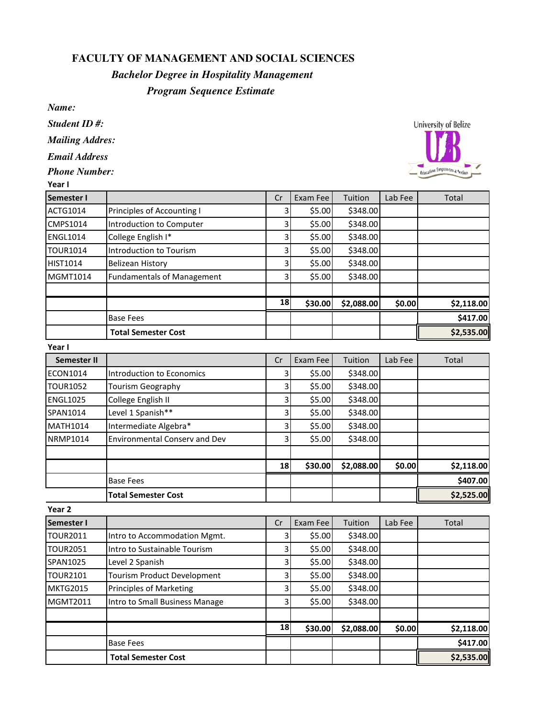## **FACULTY OF MANAGEMENT AND SOCIAL SCIENCES**

## *Bachelor Degree in Hospitality Management*

## *Program Sequence Estimate*

*Name:*

*Student ID #:*

*Mailing Addres:*

*Email Address*

*Phone Number:*

| Year I            |                                   |    |                      |            |                      |              |
|-------------------|-----------------------------------|----|----------------------|------------|----------------------|--------------|
| <b>Semester I</b> |                                   | Cr | Exam Fee             | Tuition    | Lab Fee              | <b>Total</b> |
| <b>ACTG1014</b>   | Principles of Accounting I        | 3  | \$5.00               | \$348.00   |                      |              |
| <b>CMPS1014</b>   | Introduction to Computer          | 3  | \$5.00               | \$348.00   |                      |              |
| <b>ENGL1014</b>   | College English I*                | 3  | \$5.00               | \$348.00   |                      |              |
| TOUR1014          | Introduction to Tourism           | 3  | \$5.00               | \$348.00   |                      |              |
| <b>HIST1014</b>   | Belizean History                  | 3  | \$5.00               | \$348.00   |                      |              |
| <b>MGMT1014</b>   | <b>Fundamentals of Management</b> | 3  | \$5.00               | \$348.00   |                      |              |
|                   |                                   | 18 | \$30.00              | \$2,088.00 | \$0.00               | \$2,118.00   |
|                   | <b>Base Fees</b>                  |    |                      |            |                      | \$417.00     |
|                   | <b>Total Semester Cost</b>        |    |                      |            |                      | \$2,535.00   |
| Year I            |                                   |    |                      |            |                      |              |
| .                 |                                   |    | $\sim$ $\sim$ $\sim$ | —          | $\sim$ $\sim$ $\sim$ | —            |

| Semester II     |                                      | Cr | Exam Fee | Tuition    | Lab Fee | <b>Total</b> |
|-----------------|--------------------------------------|----|----------|------------|---------|--------------|
| ECON1014        | Introduction to Economics            | 3  | \$5.00   | \$348.00   |         |              |
| <b>TOUR1052</b> | Tourism Geography                    | 3  | \$5.00   | \$348.00   |         |              |
| <b>ENGL1025</b> | College English II                   | 3  | \$5.00   | \$348.00   |         |              |
| SPAN1014        | Level 1 Spanish**                    | 3  | \$5.00   | \$348.00   |         |              |
| <b>MATH1014</b> | Intermediate Algebra*                | 3  | \$5.00   | \$348.00   |         |              |
| <b>NRMP1014</b> | <b>Environmental Consery and Dev</b> | 3  | \$5.00   | \$348.00   |         |              |
|                 |                                      |    |          |            |         |              |
|                 |                                      | 18 | \$30.00  | \$2,088.00 | \$0.00  | \$2,118.00   |
|                 | <b>Base Fees</b>                     |    |          |            |         | \$407.00     |
|                 | <b>Total Semester Cost</b>           |    |          |            |         | \$2,525.00   |

| Year 2          |                                    |    |          |            |         |            |
|-----------------|------------------------------------|----|----------|------------|---------|------------|
| Semester I      |                                    | Cr | Exam Fee | Tuition    | Lab Fee | Total      |
| <b>TOUR2011</b> | Intro to Accommodation Mgmt.       | 3  | \$5.00   | \$348.00   |         |            |
| <b>TOUR2051</b> | Intro to Sustainable Tourism       | 3  | \$5.00   | \$348.00   |         |            |
| SPAN1025        | Level 2 Spanish                    | 3  | \$5.00   | \$348.00   |         |            |
| <b>TOUR2101</b> | <b>Tourism Product Development</b> | 3  | \$5.00   | \$348.00   |         |            |
| <b>MKTG2015</b> | <b>Principles of Marketing</b>     | 3  | \$5.00   | \$348.00   |         |            |
| <b>MGMT2011</b> | Intro to Small Business Manage     | 3  | \$5.00   | \$348.00   |         |            |
|                 |                                    | 18 | \$30.00  | \$2,088.00 | \$0.00  | \$2,118.00 |
|                 | <b>Base Fees</b>                   |    |          |            |         | \$417.00   |
|                 |                                    |    |          |            |         |            |
|                 | <b>Total Semester Cost</b>         |    |          |            |         | \$2,535.00 |

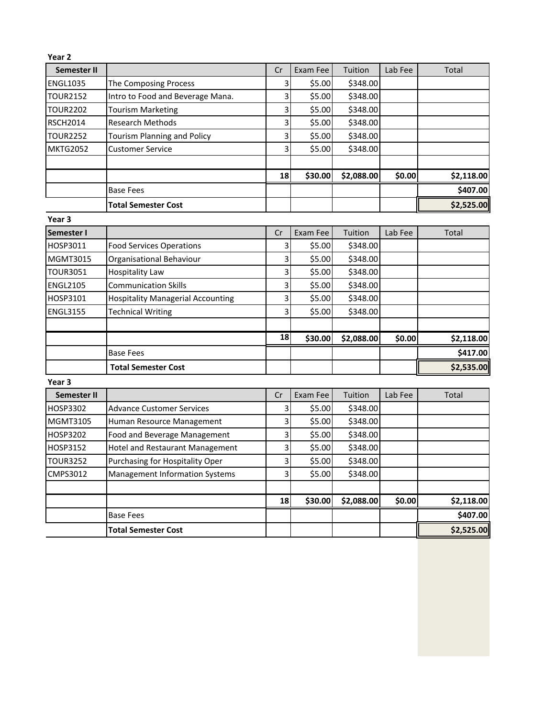| Year 2            |                                          |         |          |            |         |            |
|-------------------|------------------------------------------|---------|----------|------------|---------|------------|
| Semester II       |                                          | Cr      | Exam Fee | Tuition    | Lab Fee | Total      |
| <b>ENGL1035</b>   | The Composing Process                    | 3       | \$5.00   | \$348.00   |         |            |
| <b>TOUR2152</b>   | Intro to Food and Beverage Mana.         | 3       | \$5.00   | \$348.00   |         |            |
| <b>TOUR2202</b>   | <b>Tourism Marketing</b>                 | 3       | \$5.00   | \$348.00   |         |            |
| <b>RSCH2014</b>   | <b>Research Methods</b>                  | 3       | \$5.00   | \$348.00   |         |            |
| <b>TOUR2252</b>   | <b>Tourism Planning and Policy</b>       | 3       | \$5.00   | \$348.00   |         |            |
| <b>MKTG2052</b>   | <b>Customer Service</b>                  | 3       | \$5.00   | \$348.00   |         |            |
|                   |                                          |         |          |            |         |            |
|                   |                                          | 18      | \$30.00  | \$2,088.00 | \$0.00  | \$2,118.00 |
|                   | <b>Base Fees</b>                         |         |          |            |         | \$407.00   |
|                   | <b>Total Semester Cost</b>               |         |          |            |         | \$2,525.00 |
| Year <sub>3</sub> |                                          |         |          |            |         |            |
| <b>Semester I</b> |                                          | Cr      | Exam Fee | Tuition    | Lab Fee | Total      |
| HOSP3011          | <b>Food Services Operations</b>          | 3       | \$5.00   | \$348.00   |         |            |
| <b>MGMT3015</b>   | Organisational Behaviour                 | 3       | \$5.00   | \$348.00   |         |            |
| <b>TOUR3051</b>   | <b>Hospitality Law</b>                   | 3       | \$5.00   | \$348.00   |         |            |
| <b>ENGL2105</b>   | <b>Communication Skills</b>              | 3       | \$5.00   | \$348.00   |         |            |
| HOSP3101          | <b>Hospitality Managerial Accounting</b> | 3       | \$5.00   | \$348.00   |         |            |
| <b>ENGL3155</b>   | <b>Technical Writing</b>                 | 3       | \$5.00   | \$348.00   |         |            |
|                   |                                          |         |          |            |         |            |
|                   |                                          | 18      | \$30.00  | \$2,088.00 | \$0.00  | \$2,118.00 |
|                   | <b>Base Fees</b>                         |         |          |            |         | \$417.00   |
|                   | <b>Total Semester Cost</b>               |         |          |            |         | \$2,535.00 |
| Year <sub>3</sub> |                                          |         |          |            |         |            |
| Semester II       |                                          | Cr      | Exam Fee | Tuition    | Lab Fee | Total      |
| HOSP3302          | <b>Advance Customer Services</b>         | 3       | \$5.00   | \$348.00   |         |            |
| <b>MGMT3105</b>   | Human Resource Management                | 3       | \$5.00   | \$348.00   |         |            |
| HOSP3202          | Food and Beverage Management             | 3       | \$5.00   | \$348.00   |         |            |
| HOSP3152          | Hotel and Restaurant Management          | 3       | \$5.00   | \$348.00   |         |            |
| <b>TOUR3252</b>   | Purchasing for Hospitality Oper          | $\vert$ | \$5.00   | \$348.00   |         |            |
| CMPS3012          | Management Information Systems           | 3       | \$5.00   | \$348.00   |         |            |
|                   |                                          |         |          |            |         |            |
|                   |                                          | 18      | \$30.00  | \$2,088.00 | \$0.00  | \$2,118.00 |
|                   | <b>Base Fees</b>                         |         |          |            |         | \$407.00   |
|                   | <b>Total Semester Cost</b>               |         |          |            |         | \$2,525.00 |